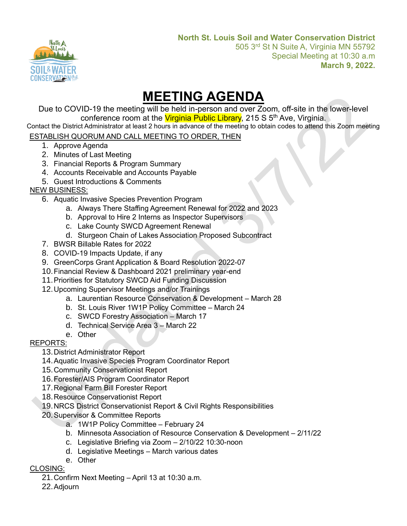

# **MEETING AGENDA**

Due to COVID-19 the meeting will be held in-person and over Zoom, off-site in the lower-level conference room at the Virginia Public Library, 215 S 5<sup>th</sup> Ave, Virginia.

Contact the District Administrator at least 2 hours in advance of the meeting to obtain codes to attend this Zoom meeting

## ESTABLISH QUORUM AND CALL MEETING TO ORDER, THEN

- 1. Approve Agenda
- 2. Minutes of Last Meeting
- 3. Financial Reports & Program Summary
- 4. Accounts Receivable and Accounts Payable
- 5. Guest Introductions & Comments

# NEW BUSINESS:

- 6. Aquatic Invasive Species Prevention Program
	- a. Always There Staffing Agreement Renewal for 2022 and 2023
	- b. Approval to Hire 2 Interns as Inspector Supervisors
	- c. Lake County SWCD Agreement Renewal
	- d. Sturgeon Chain of Lakes Association Proposed Subcontract
- 7. BWSR Billable Rates for 2022
- 8. COVID-19 Impacts Update, if any
- 9. GreenCorps Grant Application & Board Resolution 2022-07
- 10.Financial Review & Dashboard 2021 preliminary year-end
- 11.Priorities for Statutory SWCD Aid Funding Discussion
- 12.Upcoming Supervisor Meetings and/or Trainings
	- a. Laurentian Resource Conservation & Development March 28
	- b. St. Louis River 1W1P Policy Committee March 24
	- c. SWCD Forestry Association March 17
	- d. Technical Service Area 3 March 22
	- e. Other

# REPORTS:

## 13.District Administrator Report

- 14.Aquatic Invasive Species Program Coordinator Report
- 15.Community Conservationist Report
- 16.Forester/AIS Program Coordinator Report
- 17.Regional Farm Bill Forester Report
- 18.Resource Conservationist Report
- 19.NRCS District Conservationist Report & Civil Rights Responsibilities
- 20.Supervisor & Committee Reports
	- a. 1W1P Policy Committee February 24
	- b. Minnesota Association of Resource Conservation & Development 2/11/22
	- c. Legislative Briefing via Zoom 2/10/22 10:30-noon
	- d. Legislative Meetings March various dates
	- e. Other

## CLOSING:

- 21.Confirm Next Meeting April 13 at 10:30 a.m.
- 22.Adjourn